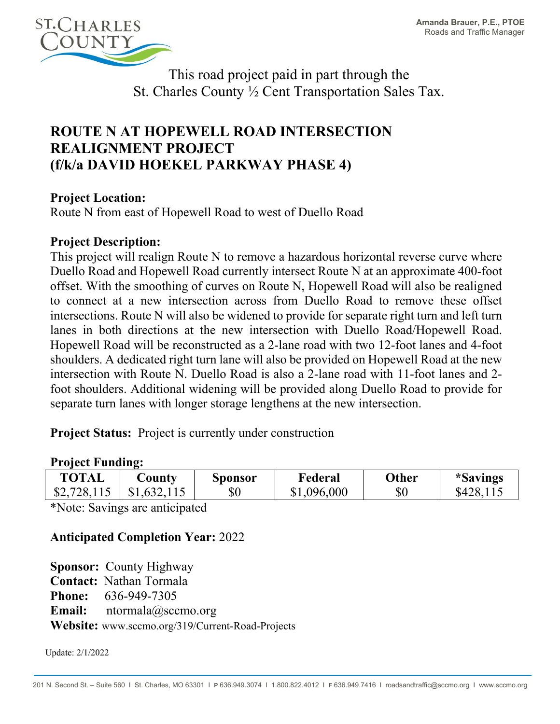

This road project paid in part through the St. Charles County ½ Cent Transportation Sales Tax.

# **ROUTE N AT HOPEWELL ROAD INTERSECTION REALIGNMENT PROJECT (f/k/a DAVID HOEKEL PARKWAY PHASE 4)**

### **Project Location:**

Route N from east of Hopewell Road to west of Duello Road

### **Project Description:**

This project will realign Route N to remove a hazardous horizontal reverse curve where Duello Road and Hopewell Road currently intersect Route N at an approximate 400-foot offset. With the smoothing of curves on Route N, Hopewell Road will also be realigned to connect at a new intersection across from Duello Road to remove these offset intersections. Route N will also be widened to provide for separate right turn and left turn lanes in both directions at the new intersection with Duello Road/Hopewell Road. Hopewell Road will be reconstructed as a 2-lane road with two 12-foot lanes and 4-foot shoulders. A dedicated right turn lane will also be provided on Hopewell Road at the new intersection with Route N. Duello Road is also a 2-lane road with 11-foot lanes and 2 foot shoulders. Additional widening will be provided along Duello Road to provide for separate turn lanes with longer storage lengthens at the new intersection.

**Project Status:** Project is currently under construction

#### **Project Funding:**

| <b>TOTAL</b> | .)ounty             | <b>Sponsor</b> | Federal     | Other | <i>*Savings</i> |
|--------------|---------------------|----------------|-------------|-------|-----------------|
| \$2,728,115  | $\vert$ \$1,632,115 | \$0            | \$1,096,000 | $\$0$ | \$428,115       |

\*Note: Savings are anticipated

## **Anticipated Completion Year:** 2022

**Sponsor:** County Highway **Contact:** Nathan Tormala **Phone:** 636-949-7305 **Email:** ntormala@sccmo.org **Website:** www.sccmo.org/319/Current-Road-Projects

Update: 2/1/2022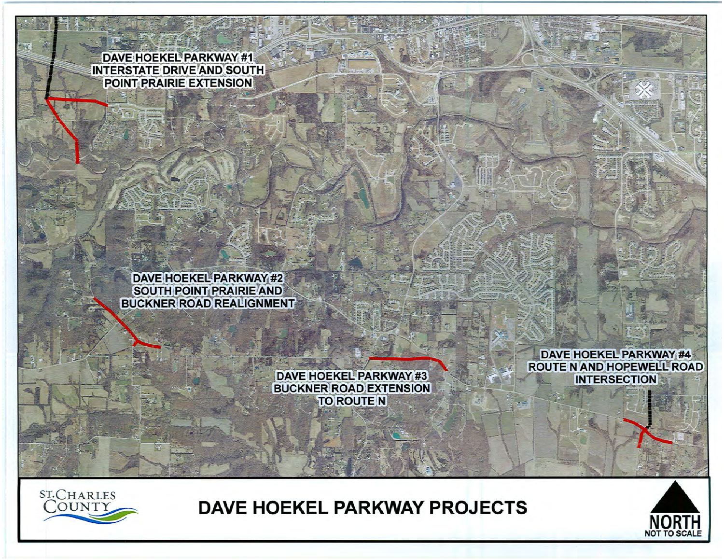**DAVE HOEKEL PARKWAY #1 INTERSTATE DRIVE AND SOUTH** POINT PRAIRIE EXTENSION

> **DAVE HOEKEL PARKWAY #2 SOUTH POINT PRAIRIE AND BUCKNER ROAD REALIGNMENT**

> > **DAVE HOEKEL PARKWAY #3 BUCKNER ROAD EXTENSION TO ROUTE N**

DAVE HOEKEL PARKWAY PROJECTS



**DAVE HOEKEL PARKWAY #4 ROUTE N AND HOPEWELL ROAD** 

**INTERSECTION**